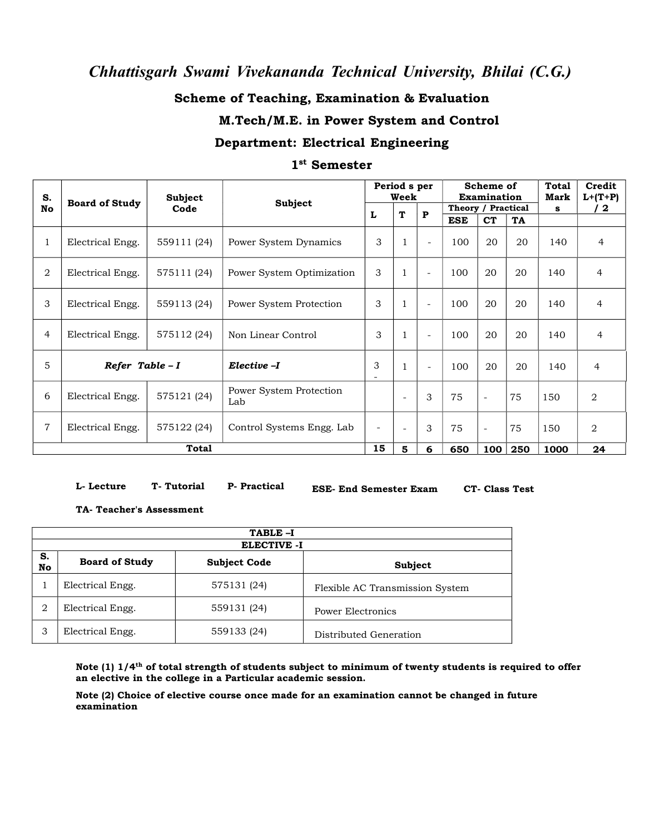### **Scheme of Teaching, Examination & Evaluation**

### **M.Tech/M.E. in Power System and Control**

### **Department: Electrical Engineering**

### **1 st Semester**

| S.               |                       | <b>Subject</b> |                                |                          | Period s per<br>Week     |                          |                    | Scheme of<br><b>Examination</b> |           |           | Credit<br>$L+ (T+P)$ |
|------------------|-----------------------|----------------|--------------------------------|--------------------------|--------------------------|--------------------------|--------------------|---------------------------------|-----------|-----------|----------------------|
| No               | <b>Board of Study</b> | Code           | Subject                        |                          |                          |                          | Theory / Practical |                                 |           | Mark<br>s | $\mathbf{2}$         |
|                  |                       |                |                                | L                        | T                        | ${\bf P}$                | <b>ESE</b>         | <b>CT</b>                       | <b>TA</b> |           |                      |
|                  | Electrical Engg.      | 559111 (24)    | Power System Dynamics          | 3                        |                          | $\overline{\phantom{a}}$ | 100                | 20                              | 20        | 140       | $\overline{4}$       |
| $\boldsymbol{2}$ | Electrical Engg.      | 575111 (24)    | Power System Optimization      | 3                        |                          | $\overline{\phantom{a}}$ | 100                | 20                              | 20        | 140       | $\overline{4}$       |
| 3                | Electrical Engg.      | 559113 (24)    | Power System Protection        | 3                        | $\mathbf{1}$             | $\sim$                   | 100                | 20                              | 20        | 140       | $\overline{4}$       |
| $\overline{4}$   | Electrical Engg.      | 575112 (24)    | Non Linear Control             | 3                        | $\mathbf{1}$             | $\sim$                   | 100                | 20                              | 20        | 140       | $\overline{4}$       |
| 5                | Refer Table - I       |                | Elective -I                    | 3<br>-                   |                          | $\overline{\phantom{a}}$ | 100                | 20                              | 20        | 140       | $\overline{4}$       |
| 6                | Electrical Engg.      | 575121 (24)    | Power System Protection<br>Lab |                          | $\overline{\phantom{a}}$ | 3                        | 75                 | $\overline{a}$                  | 75        | 150       | $\boldsymbol{2}$     |
| $\overline{7}$   | Electrical Engg.      | 575122 (24)    | Control Systems Engg. Lab      | $\overline{\phantom{a}}$ | $\overline{a}$           | 3                        | 75                 | $\overline{\phantom{a}}$        | 75        | 150       | $\overline{2}$       |
|                  |                       | <b>Total</b>   |                                | 15                       | 5                        | 6                        | 650                | 100                             | 250       | 1000      | 24                   |

**L- Lecture T- Tutorial**

**ESE- End Semester Exam CT- Class Test**

### **TA- Teacher's Assessment**

| TABLE-I<br><b>ELECTIVE -I</b> |                       |                     |                                 |  |  |  |  |  |
|-------------------------------|-----------------------|---------------------|---------------------------------|--|--|--|--|--|
| S.<br>No                      | <b>Board of Study</b> | <b>Subject Code</b> | <b>Subject</b>                  |  |  |  |  |  |
|                               | Electrical Engg.      | 575131 (24)         | Flexible AC Transmission System |  |  |  |  |  |
|                               | Electrical Engg.      | 559131 (24)         | <b>Power Electronics</b>        |  |  |  |  |  |
| З                             | Electrical Engg.      | 559133 (24)         | Distributed Generation          |  |  |  |  |  |

**P- Practical**

Note (1)  $1/4$ <sup>th</sup> of total strength of students subject to minimum of twenty students is required to offer an elective in the college in a Particular academic session.

Note (2) Choice of elective course once made for an examination cannot be changed in future **examination**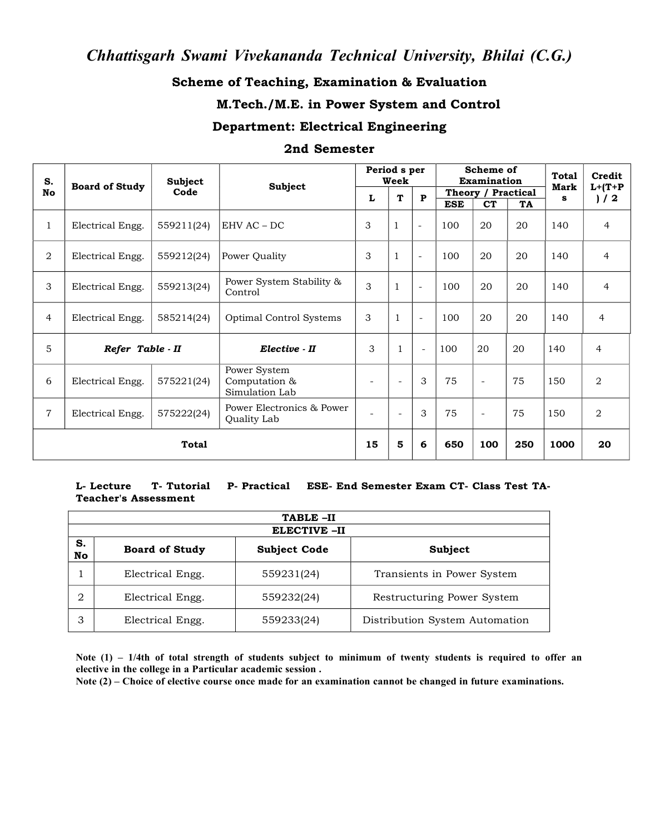### **Scheme of Teaching, Examination & Evaluation**

### **M.Tech./M.E. in Power System and Control**

#### **Department: Electrical Engineering**

#### **2nd Semester**

| S.             | <b>Board of Study</b> | Subject    | <b>Subject</b>                                  | Period s per<br>Week     |                          |                          | Scheme of<br><b>Examination</b> |                                              |      | <b>Total</b><br>Mark | Credit            |
|----------------|-----------------------|------------|-------------------------------------------------|--------------------------|--------------------------|--------------------------|---------------------------------|----------------------------------------------|------|----------------------|-------------------|
| No             |                       | Code       |                                                 | L                        | T                        | $\mathbf{P}$             | <b>ESE</b>                      | Theory / Practical<br><b>CT</b><br><b>TA</b> |      | s                    | $L+ (T+P)$<br>1/2 |
| 1              | Electrical Engg.      | 559211(24) | EHV AC – DC                                     | 3                        | $\mathbf{1}$             | $\overline{a}$           | 100                             | 20                                           | 20   | 140                  | $\overline{4}$    |
| 2              | Electrical Engg.      | 559212(24) | Power Quality                                   | 3                        |                          | $\sim$                   | 100                             | 20                                           | 20   | 140                  | $\overline{4}$    |
| 3              | Electrical Engg.      | 559213(24) | Power System Stability &<br>Control             | 3                        |                          | $\sim$                   | 100                             | 20                                           | 20   | 140                  | $\overline{4}$    |
| 4              | Electrical Engg.      | 585214(24) | Optimal Control Systems                         | 3                        |                          | $\overline{\phantom{a}}$ | 100                             | 20                                           | 20   | 140                  | $\overline{4}$    |
| 5              | Refer Table - II      |            | Elective - II                                   | 3                        |                          | $\sim$                   | 100                             | 20                                           | 20   | 140                  | $\overline{4}$    |
| 6              | Electrical Engg.      | 575221(24) | Power System<br>Computation &<br>Simulation Lab | $\overline{\phantom{a}}$ | $\overline{\phantom{a}}$ | 3                        | 75                              | $\overline{\phantom{a}}$                     | 75   | 150                  | 2                 |
| $\overline{7}$ | Electrical Engg.      | 575222(24) | Power Electronics & Power<br>Quality Lab        |                          |                          | 3                        | 75                              | $\overline{a}$                               | 75   | 150                  | $\overline{2}$    |
| <b>Total</b>   |                       |            | 15                                              | 5                        | 6                        | 650                      | 100                             | 250                                          | 1000 | 20                   |                   |

#### **L- Lecture T- Tutorial P- Practical Teacher's Assessment ESE- End Semester Exam CT- Class Test TA-**

| TABLE-II |                       |                                |                                |  |  |  |  |  |  |
|----------|-----------------------|--------------------------------|--------------------------------|--|--|--|--|--|--|
|          | <b>ELECTIVE -II</b>   |                                |                                |  |  |  |  |  |  |
| S.<br>No | <b>Board of Study</b> | <b>Subject Code</b><br>Subject |                                |  |  |  |  |  |  |
|          | Electrical Engg.      | 559231(24)                     | Transients in Power System     |  |  |  |  |  |  |
|          | Electrical Engg.      | 559232(24)                     | Restructuring Power System     |  |  |  |  |  |  |
|          | Electrical Engg.      | 559233(24)                     | Distribution System Automation |  |  |  |  |  |  |

Note  $(1)$  – 1/4th of total strength of students subject to minimum of twenty students is required to offer an **elective in the college in a Particular academic session .**

Note (2) – Choice of elective course once made for an examination cannot be changed in future examinations.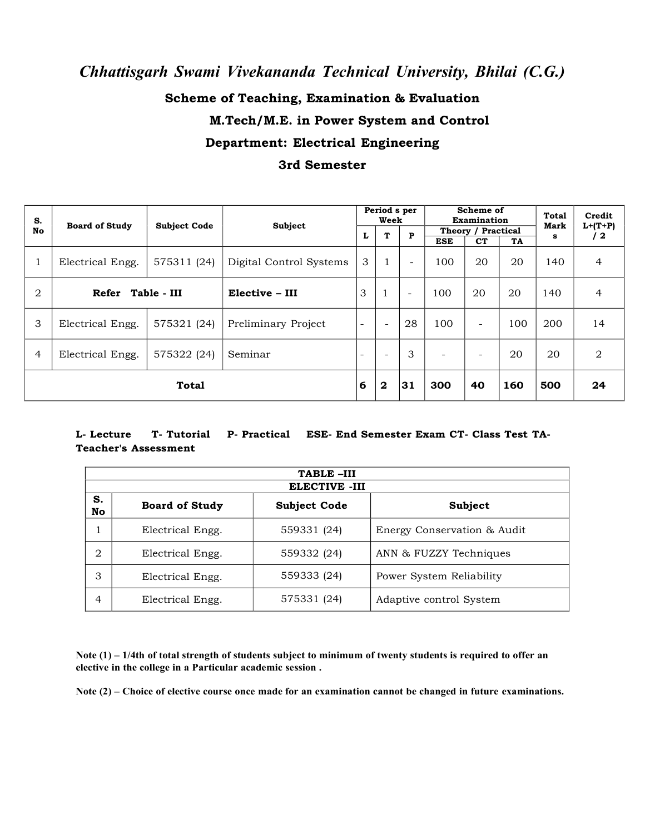## **Scheme of Teaching, Examination & Evaluation M.Tech/M.E. in Power System and Control Department: Electrical Engineering 3rd Semester**

| S.             | <b>Board of Study</b> | <b>Subject Code</b> | Subject                 |                          | Period s per<br>Week     |                          | Scheme of<br><b>Examination</b>                     |                          |     | Total<br>Mark | Credit<br>$L+(T+P)$ |
|----------------|-----------------------|---------------------|-------------------------|--------------------------|--------------------------|--------------------------|-----------------------------------------------------|--------------------------|-----|---------------|---------------------|
| No             |                       |                     |                         | L                        | т                        | P                        | Theory / Practical<br><b>ESE</b><br><b>CT</b><br>TA |                          | s   | ' 2           |                     |
|                | Electrical Engg.      | 575311 (24)         | Digital Control Systems | 3                        | $\mathbf{1}$             | $\overline{\phantom{a}}$ | 100                                                 | 20                       | 20  | 140           | $\overline{4}$      |
| 2              | Refer Table - III     |                     | Elective - III          | 3                        |                          | $\overline{\phantom{a}}$ | 100                                                 | 20                       | 20  | 140           | 4                   |
| 3              | Electrical Engg.      | 575321 (24)         | Preliminary Project     | $\overline{\phantom{a}}$ | $\overline{\phantom{a}}$ | 28                       | 100                                                 | $\overline{\phantom{0}}$ | 100 | 200           | 14                  |
| $\overline{4}$ | Electrical Engg.      | 575322 (24)         | Seminar                 | $\overline{\phantom{0}}$ | $\overline{\phantom{0}}$ | 3                        | $\overline{\phantom{0}}$                            | $\overline{\phantom{0}}$ | 20  | 20            | $\overline{2}$      |
|                |                       | <b>Total</b>        |                         | 6                        | $\mathbf{2}$             | 31                       | 300                                                 | 40                       | 160 | 500           | 24                  |

### **L- Lecture T- Tutorial P- Practical ESE- End Semester Exam CT- Class Test TA- Teacher's Assessment**

| TABLE-III                         |                     |                             |  |  |  |  |  |  |
|-----------------------------------|---------------------|-----------------------------|--|--|--|--|--|--|
| <b>ELECTIVE -III</b>              |                     |                             |  |  |  |  |  |  |
| S.<br><b>Board of Study</b><br>No | <b>Subject Code</b> |                             |  |  |  |  |  |  |
| Electrical Engg.                  | 559331 (24)         | Energy Conservation & Audit |  |  |  |  |  |  |
| Electrical Engg.<br>2             | 559332 (24)         | ANN & FUZZY Techniques      |  |  |  |  |  |  |
| Electrical Engg.                  | 559333 (24)         | Power System Reliability    |  |  |  |  |  |  |
| Electrical Engg.<br>4             | 575331 (24)         | Adaptive control System     |  |  |  |  |  |  |

Note  $(1)$  – 1/4th of total strength of students subject to minimum of twenty students is required to offer an **elective in the college in a Particular academic session .**

Note (2) – Choice of elective course once made for an examination cannot be changed in future examinations.